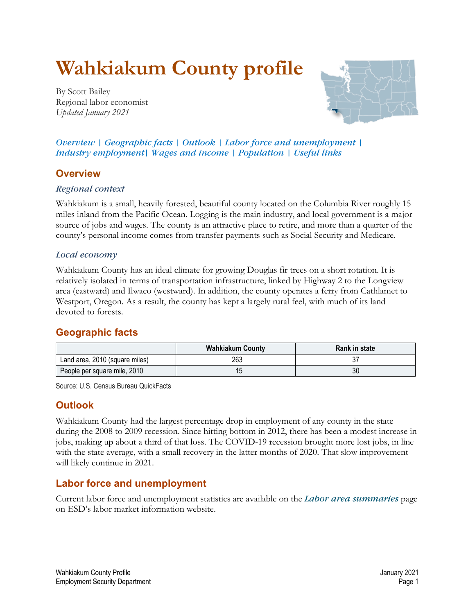# **Wahkiakum County profile**

<span id="page-0-3"></span>By Scott Bailey Regional labor economist *Updated January 2021*



*Overview | [Geographic facts](#page-0-0) | [Outlook](#page-0-1) | [Labor force and unemployment](#page-0-2) | [Industry employment|](#page-1-0) [Wages and income](#page-2-0) | [Population](#page-4-0) | [Useful links](#page-5-0)*

# **Overview**

#### *Regional context*

Wahkiakum is a small, heavily forested, beautiful county located on the Columbia River roughly 15 miles inland from the Pacific Ocean. Logging is the main industry, and local government is a major source of jobs and wages. The county is an attractive place to retire, and more than a quarter of the county's personal income comes from transfer payments such as Social Security and Medicare.

#### *Local economy*

Wahkiakum County has an ideal climate for growing Douglas fir trees on a short rotation. It is relatively isolated in terms of transportation infrastructure, linked by Highway 2 to the Longview area (eastward) and Ilwaco (westward). In addition, the county operates a ferry from Cathlamet to Westport, Oregon. As a result, the county has kept a largely rural feel, with much of its land devoted to forests.

## <span id="page-0-0"></span>**[Geographic facts](#page-0-3)**

|                                | <b>Wahkiakum County</b> | <b>Rank in state</b> |
|--------------------------------|-------------------------|----------------------|
| Land area, 2010 (square miles) | 263                     | ، ب                  |
| People per square mile, 2010   | . J                     | 30                   |

Source: U.S. Census Bureau QuickFacts

## <span id="page-0-1"></span>**[Outlook](#page-0-3)**

Wahkiakum County had the largest percentage drop in employment of any county in the state during the 2008 to 2009 recession. Since hitting bottom in 2012, there has been a modest increase in jobs, making up about a third of that loss. The COVID-19 recession brought more lost jobs, in line with the state average, with a small recovery in the latter months of 2020. That slow improvement will likely continue in 2021.

## <span id="page-0-2"></span>**[Labor force and unemployment](#page-0-3)**

Current labor force and unemployment statistics are available on the *[Labor area summaries](https://fortress.wa.gov/esd/employmentdata/eeis-tools/labor-area-summaries)* page [on ESD's labor market information website.](https://fortress.wa.gov/esd/employmentdata/eeis-tools/labor-area-summaries)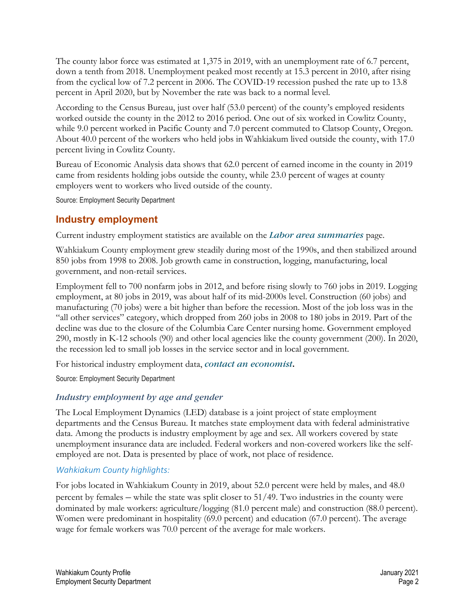The county labor force was estimated at 1,375 in 2019, with an unemployment rate of 6.7 percent, down a tenth from 2018. Unemployment peaked most recently at 15.3 percent in 2010, after rising from the cyclical low of 7.2 percent in 2006. The COVID-19 recession pushed the rate up to 13.8 percent in April 2020, but by November the rate was back to a normal level.

According to the Census Bureau, just over half (53.0 percent) of the county's employed residents worked outside the county in the 2012 to 2016 period. One out of six worked in Cowlitz County, while 9.0 percent worked in Pacific County and 7.0 percent commuted to Clatsop County, Oregon. About 40.0 percent of the workers who held jobs in Wahkiakum lived outside the county, with 17.0 percent living in Cowlitz County.

Bureau of Economic Analysis data shows that 62.0 percent of earned income in the county in 2019 came from residents holding jobs outside the county, while 23.0 percent of wages at county employers went to workers who lived outside of the county.

Source: Employment Security Department

# <span id="page-1-0"></span>**[Industry employment](#page-0-3)**

Current industry employment statistics are available on the *[Labor area summaries](https://fortress.wa.gov/esd/employmentdata/eeis-tools/labor-area-summaries)* [page.](https://fortress.wa.gov/esd/employmentdata/eeis-tools/labor-area-summaries)

Wahkiakum County employment grew steadily during most of the 1990s, and then stabilized around 850 jobs from 1998 to 2008. Job growth came in construction, logging, manufacturing, local government, and non-retail services.

Employment fell to 700 nonfarm jobs in 2012, and before rising slowly to 760 jobs in 2019. Logging employment, at 80 jobs in 2019, was about half of its mid-2000s level. Construction (60 jobs) and manufacturing (70 jobs) were a bit higher than before the recession. Most of the job loss was in the "all other services" category, which dropped from 260 jobs in 2008 to 180 jobs in 2019. Part of the decline was due to the closure of the Columbia Care Center nursing home. Government employed 290, mostly in K-12 schools (90) and other local agencies like the county government (200). In 2020, the recession led to small job losses in the service sector and in local government.

For historical industry employment data, *[contact an economist](https://fortress.wa.gov/esd/employmentdata/help/contactaneconomist)***.** 

Source: Employment Security Department

## *Industry employment by age and gender*

The Local Employment Dynamics (LED) database is a joint project of state employment departments and the Census Bureau. It matches state employment data with federal administrative data. Among the products is industry employment by age and sex. All workers covered by state unemployment insurance data are included. Federal workers and non-covered workers like the selfemployed are not. Data is presented by place of work, not place of residence.

#### *Wahkiakum County highlights:*

For jobs located in Wahkiakum County in 2019, about 52.0 percent were held by males, and 48.0 percent by females – while the state was split closer to 51/49. Two industries in the county were dominated by male workers: agriculture/logging (81.0 percent male) and construction (88.0 percent). Women were predominant in hospitality (69.0 percent) and education (67.0 percent). The average wage for female workers was 70.0 percent of the average for male workers.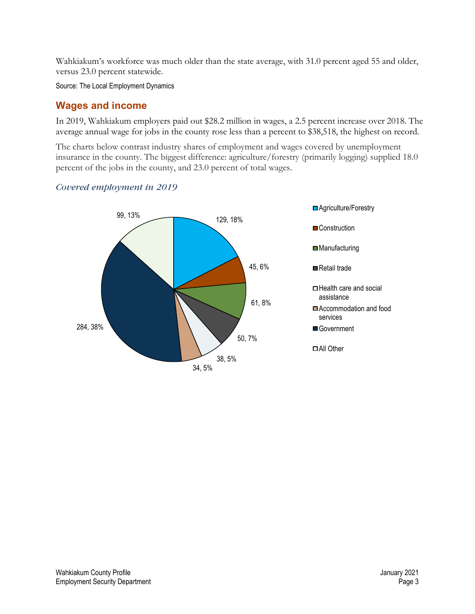Wahkiakum's workforce was much older than the state average, with 31.0 percent aged 55 and older, versus 23.0 percent statewide.

Source: The Local Employment Dynamics

# <span id="page-2-0"></span>**[Wages and income](#page-0-3)**

In 2019, Wahkiakum employers paid out \$28.2 million in wages, a 2.5 percent increase over 2018. The average annual wage for jobs in the county rose less than a percent to \$38,518, the highest on record.

The charts below contrast industry shares of employment and wages covered by unemployment insurance in the county. The biggest difference: agriculture/forestry (primarily logging) supplied 18.0 percent of the jobs in the county, and 23.0 percent of total wages.

#### *Covered employment in 2019*

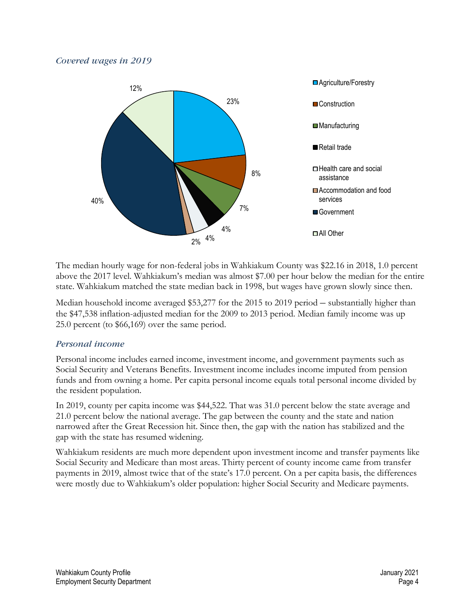#### *Covered wages in 2019*



The median hourly wage for non-federal jobs in Wahkiakum County was \$22.16 in 2018, 1.0 percent above the 2017 level. Wahkiakum's median was almost \$7.00 per hour below the median for the entire state. Wahkiakum matched the state median back in 1998, but wages have grown slowly since then.

Median household income averaged \$53,277 for the 2015 to 2019 period – substantially higher than the \$47,538 inflation-adjusted median for the 2009 to 2013 period. Median family income was up 25.0 percent (to \$66,169) over the same period.

#### *Personal income*

Personal income includes earned income, investment income, and government payments such as Social Security and Veterans Benefits. Investment income includes income imputed from pension funds and from owning a home. Per capita personal income equals total personal income divided by the resident population.

In 2019, county per capita income was \$44,522. That was 31.0 percent below the state average and 21.0 percent below the national average. The gap between the county and the state and nation narrowed after the Great Recession hit. Since then, the gap with the nation has stabilized and the gap with the state has resumed widening.

Wahkiakum residents are much more dependent upon investment income and transfer payments like Social Security and Medicare than most areas. Thirty percent of county income came from transfer payments in 2019, almost twice that of the state's 17.0 percent. On a per capita basis, the differences were mostly due to Wahkiakum's older population: higher Social Security and Medicare payments.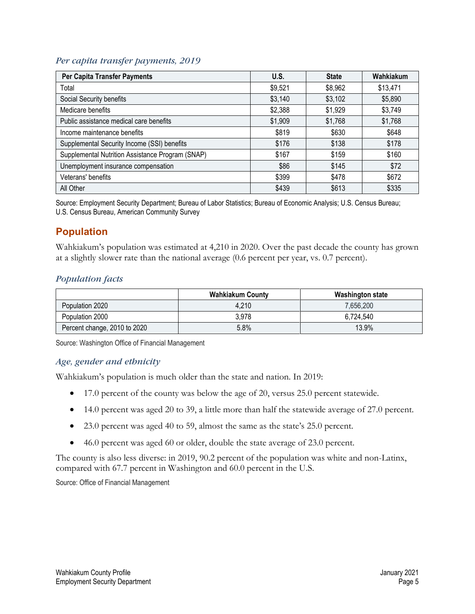#### *Per capita transfer payments, 2019*

| Per Capita Transfer Payments                     | U.S.    | <b>State</b> | Wahkiakum |
|--------------------------------------------------|---------|--------------|-----------|
| Total                                            | \$9,521 | \$8,962      | \$13,471  |
| Social Security benefits                         | \$3,140 | \$3,102      | \$5,890   |
| Medicare benefits                                | \$2,388 | \$1,929      | \$3,749   |
| Public assistance medical care benefits          | \$1,909 | \$1,768      | \$1,768   |
| Income maintenance benefits                      | \$819   | \$630        | \$648     |
| Supplemental Security Income (SSI) benefits      | \$176   | \$138        | \$178     |
| Supplemental Nutrition Assistance Program (SNAP) | \$167   | \$159        | \$160     |
| Unemployment insurance compensation              | \$86    | \$145        | \$72      |
| Veterans' benefits                               | \$399   | \$478        | \$672     |
| All Other                                        | \$439   | \$613        | \$335     |

Source: Employment Security Department; Bureau of Labor Statistics; Bureau of Economic Analysis; U.S. Census Bureau; U.S. Census Bureau, American Community Survey

## <span id="page-4-0"></span>**[Population](#page-0-3)**

Wahkiakum's population was estimated at 4,210 in 2020. Over the past decade the county has grown at a slightly slower rate than the national average (0.6 percent per year, vs. 0.7 percent).

#### *Population facts*

|                              | <b>Wahkiakum County</b> | Washington state |
|------------------------------|-------------------------|------------------|
| Population 2020              | 4,210                   | 7,656,200        |
| Population 2000              | 3.978                   | 6,724,540        |
| Percent change, 2010 to 2020 | 5.8%                    | 13.9%            |

Source: Washington Office of Financial Management

#### *Age, gender and ethnicity*

Wahkiakum's population is much older than the state and nation. In 2019:

- 17.0 percent of the county was below the age of 20, versus 25.0 percent statewide.
- 14.0 percent was aged 20 to 39, a little more than half the statewide average of 27.0 percent.
- 23.0 percent was aged 40 to 59, almost the same as the state's 25.0 percent.
- 46.0 percent was aged 60 or older, double the state average of 23.0 percent.

The county is also less diverse: in 2019, 90.2 percent of the population was white and non-Latinx, compared with 67.7 percent in Washington and 60.0 percent in the U.S.

Source: Office of Financial Management